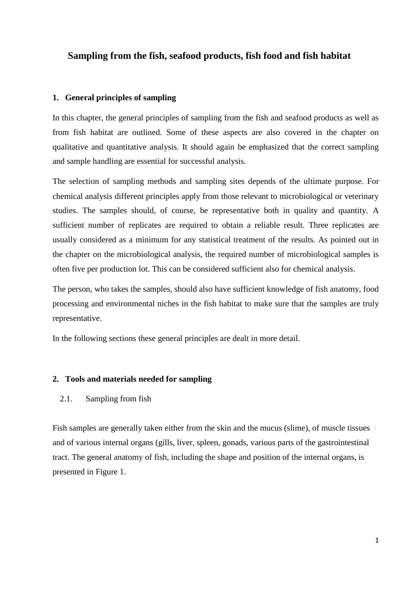# **Sampling from the fish, seafood products, fish food and fish habitat**

#### **1. General principles of sampling**

In this chapter, the general principles of sampling from the fish and seafood products as well as from fish habitat are outlined. Some of these aspects are also covered in the chapter on qualitative and quantitative analysis. It should again be emphasized that the correct sampling and sample handling are essential for successful analysis.

The selection of sampling methods and sampling sites depends of the ultimate purpose. For chemical analysis different principles apply from those relevant to microbiological or veterinary studies. The samples should, of course, be representative both in quality and quantity. A sufficient number of replicates are required to obtain a reliable result. Three replicates are usually considered as a minimum for any statistical treatment of the results. As pointed out in the chapter on the microbiological analysis, the required number of microbiological samples is often five per production lot. This can be considered sufficient also for chemical analysis.

The person, who takes the samples, should also have sufficient knowledge of fish anatomy, food processing and environmental niches in the fish habitat to make sure that the samples are truly representative.

In the following sections these general principles are dealt in more detail.

#### **2. Tools and materials needed for sampling**

#### 2.1. Sampling from fish

Fish samples are generally taken either from the skin and the mucus (slime), of muscle tissues and of various internal organs (gills, liver, spleen, gonads, various parts of the gastrointestinal tract. The general anatomy of fish, including the shape and position of the internal organs, is presented in Figure 1.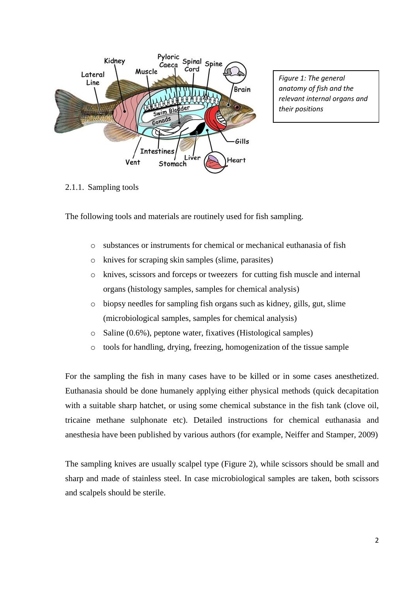

*Figure 1: The general anatomy of fish and the relevant internal organs and their positions*

2.1.1. Sampling tools

The following tools and materials are routinely used for fish sampling.

- o substances or instruments for chemical or mechanical euthanasia of fish
- o knives for scraping skin samples (slime, parasites)
- o knives, scissors and forceps or tweezers for cutting fish muscle and internal organs (histology samples, samples for chemical analysis)
- o biopsy needles for sampling fish organs such as kidney, gills, gut, slime (microbiological samples, samples for chemical analysis)
- o Saline (0.6%), peptone water, fixatives (Histological samples)
- o tools for handling, drying, freezing, homogenization of the tissue sample

For the sampling the fish in many cases have to be killed or in some cases anesthetized. Euthanasia should be done humanely applying either physical methods (quick decapitation with a suitable sharp hatchet, or using some chemical substance in the fish tank (clove oil, tricaine methane sulphonate etc). Detailed instructions for chemical euthanasia and anesthesia have been published by various authors (for example, Neiffer and Stamper, 2009)

The sampling knives are usually scalpel type (Figure 2), while scissors should be small and sharp and made of stainless steel. In case microbiological samples are taken, both scissors and scalpels should be sterile.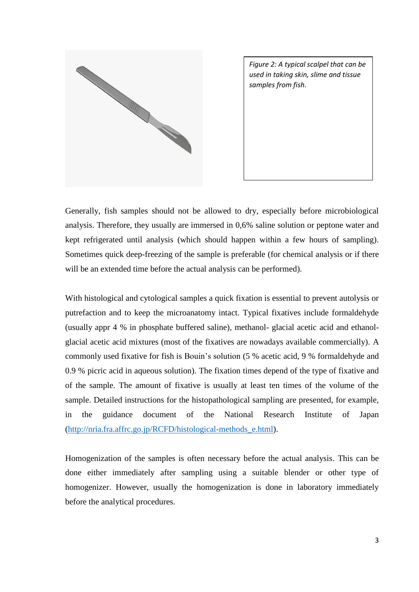

*Figure 2: A typical scalpel that can be used in taking skin, slime and tissue samples from fish.*

Generally, fish samples should not be allowed to dry, especially before microbiological analysis. Therefore, they usually are immersed in 0,6% saline solution or peptone water and kept refrigerated until analysis (which should happen within a few hours of sampling). Sometimes quick deep-freezing of the sample is preferable (for chemical analysis or if there will be an extended time before the actual analysis can be performed).

With histological and cytological samples a quick fixation is essential to prevent autolysis or putrefaction and to keep the microanatomy intact. Typical fixatives include formaldehyde (usually appr 4 % in phosphate buffered saline), methanol- glacial acetic acid and ethanolglacial acetic acid mixtures (most of the fixatives are nowadays available commercially). A commonly used fixative for fish is Bouin's solution (5 % acetic acid, 9 % formaldehyde and 0.9 % picric acid in aqueous solution). The fixation times depend of the type of fixative and of the sample. The amount of fixative is usually at least ten times of the volume of the sample. Detailed instructions for the histopathological sampling are presented, for example, in the guidance document of the National Research Institute of Japan [\(http://nria.fra.affrc.go.jp/RCFD/histological-methods\\_e.html\)](http://nria.fra.affrc.go.jp/RCFD/histological-methods_e.html).

Homogenization of the samples is often necessary before the actual analysis. This can be done either immediately after sampling using a suitable blender or other type of homogenizer. However, usually the homogenization is done in laboratory immediately before the analytical procedures.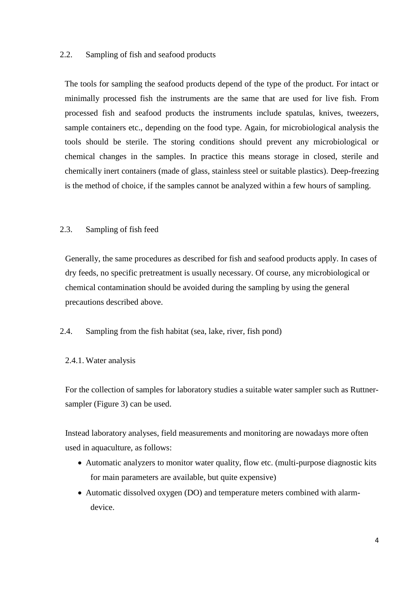### 2.2. Sampling of fish and seafood products

The tools for sampling the seafood products depend of the type of the product. For intact or minimally processed fish the instruments are the same that are used for live fish. From processed fish and seafood products the instruments include spatulas, knives, tweezers, sample containers etc., depending on the food type. Again, for microbiological analysis the tools should be sterile. The storing conditions should prevent any microbiological or chemical changes in the samples. In practice this means storage in closed, sterile and chemically inert containers (made of glass, stainless steel or suitable plastics). Deep-freezing is the method of choice, if the samples cannot be analyzed within a few hours of sampling.

## 2.3. Sampling of fish feed

Generally, the same procedures as described for fish and seafood products apply. In cases of dry feeds, no specific pretreatment is usually necessary. Of course, any microbiological or chemical contamination should be avoided during the sampling by using the general precautions described above.

#### 2.4. Sampling from the fish habitat (sea, lake, river, fish pond)

#### 2.4.1. Water analysis

For the collection of samples for laboratory studies a suitable water sampler such as Ruttnersampler (Figure 3) can be used.

Instead laboratory analyses, field measurements and monitoring are nowadays more often used in aquaculture, as follows:

- Automatic analyzers to monitor water quality, flow etc. (multi-purpose diagnostic kits for main parameters are available, but quite expensive)
- Automatic dissolved oxygen (DO) and temperature meters combined with alarmdevice.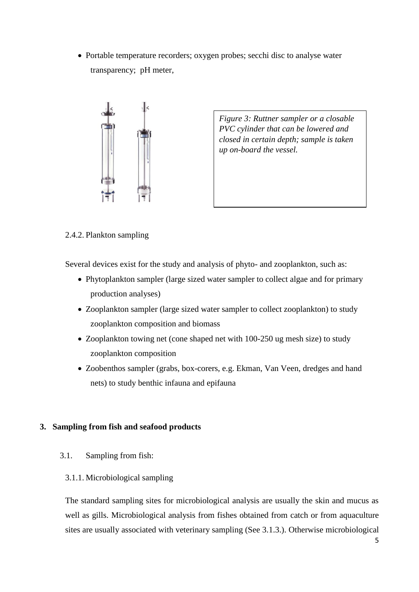• Portable temperature recorders; oxygen probes; secchi disc to analyse water transparency; pH meter,



*Figure 3: Ruttner sampler or a closable PVC cylinder that can be lowered and closed in certain depth; sample is taken up on-board the vessel.* 

## 2.4.2. Plankton sampling

Several devices exist for the study and analysis of phyto- and zooplankton, such as:

- Phytoplankton sampler (large sized water sampler to collect algae and for primary production analyses)
- Zooplankton sampler (large sized water sampler to collect zooplankton) to study zooplankton composition and biomass
- Zooplankton towing net (cone shaped net with 100-250 ug mesh size) to study zooplankton composition
- Zoobenthos sampler (grabs, box-corers, e.g. Ekman, Van Veen, dredges and hand nets) to study benthic infauna and epifauna

## **3. Sampling from fish and seafood products**

- 3.1. Sampling from fish:
	- 3.1.1. Microbiological sampling

The standard sampling sites for microbiological analysis are usually the skin and mucus as well as gills. Microbiological analysis from fishes obtained from catch or from aquaculture sites are usually associated with veterinary sampling (See 3.1.3.). Otherwise microbiological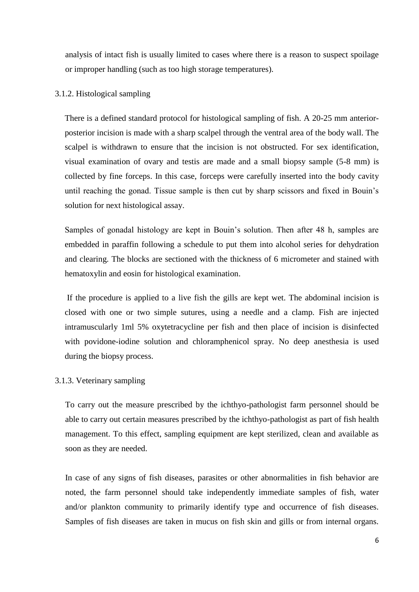analysis of intact fish is usually limited to cases where there is a reason to suspect spoilage or improper handling (such as too high storage temperatures).

#### 3.1.2. Histological sampling

There is a defined standard protocol for histological sampling of fish. A 20-25 mm anteriorposterior incision is made with a sharp scalpel through the ventral area of the body wall. The scalpel is withdrawn to ensure that the incision is not obstructed. For sex identification, visual examination of ovary and testis are made and a small biopsy sample (5-8 mm) is collected by fine forceps. In this case, forceps were carefully inserted into the body cavity until reaching the gonad. Tissue sample is then cut by sharp scissors and fixed in Bouin's solution for next histological assay.

Samples of gonadal histology are kept in Bouin's solution. Then after 48 h, samples are embedded in paraffin following a schedule to put them into alcohol series for dehydration and clearing. The blocks are sectioned with the thickness of 6 micrometer and stained with hematoxylin and eosin for histological examination.

If the procedure is applied to a live fish the gills are kept wet. The abdominal incision is closed with one or two simple sutures, using a needle and a clamp. Fish are injected intramuscularly 1ml 5% oxytetracycline per fish and then place of incision is disinfected with povidone-iodine solution and chloramphenicol spray. No deep anesthesia is used during the biopsy process.

#### 3.1.3. Veterinary sampling

To carry out the measure prescribed by the ichthyo-pathologist farm personnel should be able to carry out certain measures prescribed by the ichthyo-pathologist as part of fish health management. To this effect, sampling equipment are kept sterilized, clean and available as soon as they are needed.

In case of any signs of fish diseases, parasites or other abnormalities in fish behavior are noted, the farm personnel should take independently immediate samples of fish, water and/or plankton community to primarily identify type and occurrence of fish diseases. Samples of fish diseases are taken in mucus on fish skin and gills or from internal organs.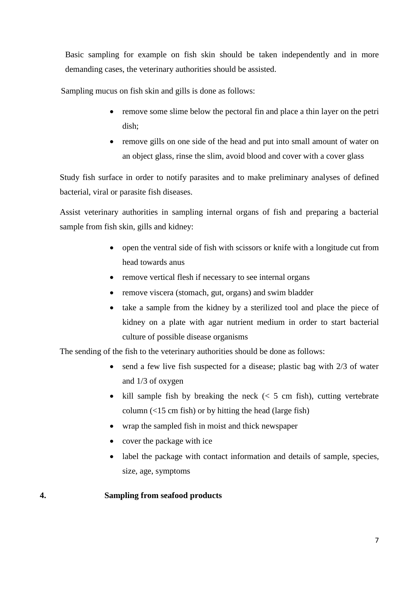Basic sampling for example on fish skin should be taken independently and in more demanding cases, the veterinary authorities should be assisted.

Sampling mucus on fish skin and gills is done as follows:

- remove some slime below the pectoral fin and place a thin layer on the petri dish;
- remove gills on one side of the head and put into small amount of water on an object glass, rinse the slim, avoid blood and cover with a cover glass

Study fish surface in order to notify parasites and to make preliminary analyses of defined bacterial, viral or parasite fish diseases.

Assist veterinary authorities in sampling internal organs of fish and preparing a bacterial sample from fish skin, gills and kidney:

- open the ventral side of fish with scissors or knife with a longitude cut from head towards anus
- remove vertical flesh if necessary to see internal organs
- remove viscera (stomach, gut, organs) and swim bladder
- take a sample from the kidney by a sterilized tool and place the piece of kidney on a plate with agar nutrient medium in order to start bacterial culture of possible disease organisms

The sending of the fish to the veterinary authorities should be done as follows:

- send a few live fish suspected for a disease; plastic bag with 2/3 of water and 1/3 of oxygen
- kill sample fish by breaking the neck  $\langle \leq 5 \rangle$  cm fish), cutting vertebrate column (<15 cm fish) or by hitting the head (large fish)
- wrap the sampled fish in moist and thick newspaper
- cover the package with ice
- label the package with contact information and details of sample, species, size, age, symptoms

## **4. Sampling from seafood products**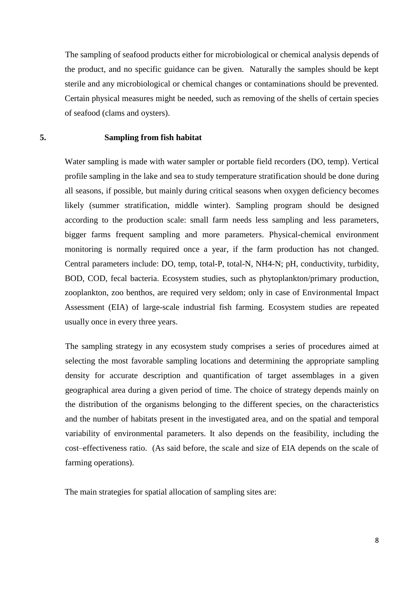The sampling of seafood products either for microbiological or chemical analysis depends of the product, and no specific guidance can be given. Naturally the samples should be kept sterile and any microbiological or chemical changes or contaminations should be prevented. Certain physical measures might be needed, such as removing of the shells of certain species of seafood (clams and oysters).

### **5. Sampling from fish habitat**

Water sampling is made with water sampler or portable field recorders (DO, temp). Vertical profile sampling in the lake and sea to study temperature stratification should be done during all seasons, if possible, but mainly during critical seasons when oxygen deficiency becomes likely (summer stratification, middle winter). Sampling program should be designed according to the production scale: small farm needs less sampling and less parameters, bigger farms frequent sampling and more parameters. Physical-chemical environment monitoring is normally required once a year, if the farm production has not changed. Central parameters include: DO, temp, total-P, total-N, NH4-N; pH, conductivity, turbidity, BOD, COD, fecal bacteria. Ecosystem studies, such as phytoplankton/primary production, zooplankton, zoo benthos, are required very seldom; only in case of Environmental Impact Assessment (EIA) of large-scale industrial fish farming. Ecosystem studies are repeated usually once in every three years.

The sampling strategy in any ecosystem study comprises a series of procedures aimed at selecting the most favorable sampling locations and determining the appropriate sampling density for accurate description and quantification of target assemblages in a given geographical area during a given period of time. The choice of strategy depends mainly on the distribution of the organisms belonging to the different species, on the characteristics and the number of habitats present in the investigated area, and on the spatial and temporal variability of environmental parameters. It also depends on the feasibility, including the cost–effectiveness ratio. (As said before, the scale and size of EIA depends on the scale of farming operations).

The main strategies for spatial allocation of sampling sites are: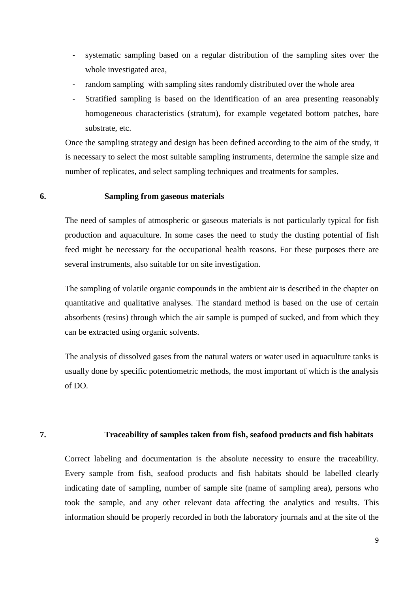- systematic sampling based on a regular distribution of the sampling sites over the whole investigated area,
- random sampling with sampling sites randomly distributed over the whole area
- Stratified sampling is based on the identification of an area presenting reasonably homogeneous characteristics (stratum), for example vegetated bottom patches, bare substrate, etc.

Once the sampling strategy and design has been defined according to the aim of the study, it is necessary to select the most suitable sampling instruments, determine the sample size and number of replicates, and select sampling techniques and treatments for samples.

#### **6. Sampling from gaseous materials**

The need of samples of atmospheric or gaseous materials is not particularly typical for fish production and aquaculture. In some cases the need to study the dusting potential of fish feed might be necessary for the occupational health reasons. For these purposes there are several instruments, also suitable for on site investigation.

The sampling of volatile organic compounds in the ambient air is described in the chapter on quantitative and qualitative analyses. The standard method is based on the use of certain absorbents (resins) through which the air sample is pumped of sucked, and from which they can be extracted using organic solvents.

The analysis of dissolved gases from the natural waters or water used in aquaculture tanks is usually done by specific potentiometric methods, the most important of which is the analysis of DO.

## **7. Traceability of samples taken from fish, seafood products and fish habitats**

Correct labeling and documentation is the absolute necessity to ensure the traceability. Every sample from fish, seafood products and fish habitats should be labelled clearly indicating date of sampling, number of sample site (name of sampling area), persons who took the sample, and any other relevant data affecting the analytics and results. This information should be properly recorded in both the laboratory journals and at the site of the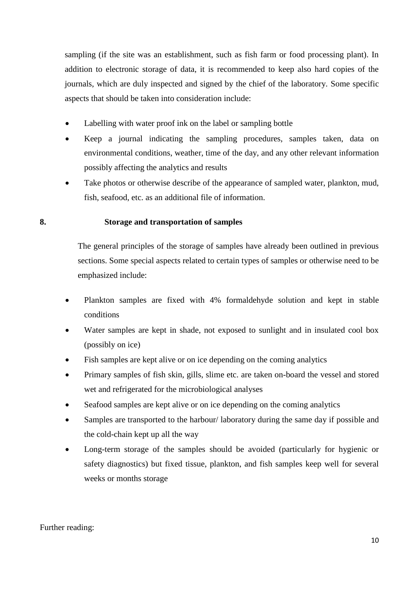sampling (if the site was an establishment, such as fish farm or food processing plant). In addition to electronic storage of data, it is recommended to keep also hard copies of the journals, which are duly inspected and signed by the chief of the laboratory. Some specific aspects that should be taken into consideration include:

- Labelling with water proof ink on the label or sampling bottle
- Keep a journal indicating the sampling procedures, samples taken, data on environmental conditions, weather, time of the day, and any other relevant information possibly affecting the analytics and results
- Take photos or otherwise describe of the appearance of sampled water, plankton, mud, fish, seafood, etc. as an additional file of information.

## **8. Storage and transportation of samples**

The general principles of the storage of samples have already been outlined in previous sections. Some special aspects related to certain types of samples or otherwise need to be emphasized include:

- Plankton samples are fixed with 4% formaldehyde solution and kept in stable conditions
- Water samples are kept in shade, not exposed to sunlight and in insulated cool box (possibly on ice)
- Fish samples are kept alive or on ice depending on the coming analytics
- Primary samples of fish skin, gills, slime etc. are taken on-board the vessel and stored wet and refrigerated for the microbiological analyses
- Seafood samples are kept alive or on ice depending on the coming analytics
- Samples are transported to the harbour/ laboratory during the same day if possible and the cold-chain kept up all the way
- Long-term storage of the samples should be avoided (particularly for hygienic or safety diagnostics) but fixed tissue, plankton, and fish samples keep well for several weeks or months storage

## Further reading: